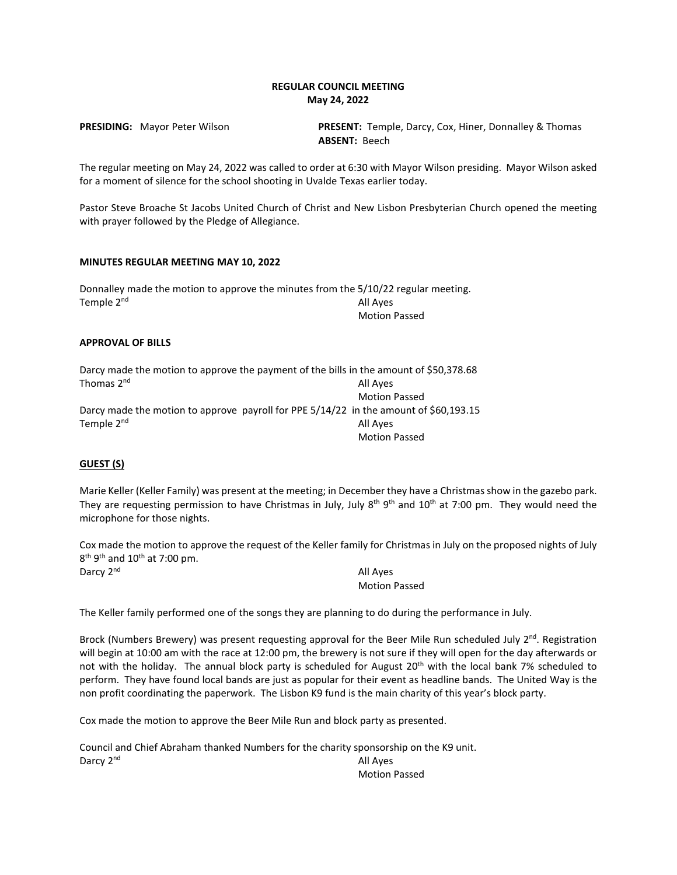## **REGULAR COUNCIL MEETING May 24, 2022**

**PRESIDING:** Mayor Peter Wilson **PRESENT:** Temple, Darcy, Cox, Hiner, Donnalley & Thomas **ABSENT:** Beech

The regular meeting on May 24, 2022 was called to order at 6:30 with Mayor Wilson presiding. Mayor Wilson asked for a moment of silence for the school shooting in Uvalde Texas earlier today.

Pastor Steve Broache St Jacobs United Church of Christ and New Lisbon Presbyterian Church opened the meeting with prayer followed by the Pledge of Allegiance.

### **MINUTES REGULAR MEETING MAY 10, 2022**

Donnalley made the motion to approve the minutes from the 5/10/22 regular meeting. Temple 2<sup>nd</sup> All Ayes Motion Passed

## **APPROVAL OF BILLS**

|                        | Darcy made the motion to approve the payment of the bills in the amount of \$50,378.68 |
|------------------------|----------------------------------------------------------------------------------------|
| Thomas 2 <sup>nd</sup> | All Ayes                                                                               |
|                        | <b>Motion Passed</b>                                                                   |
|                        | Darcy made the motion to approve payroll for PPE 5/14/22 in the amount of \$60,193.15  |
| Temple 2 <sup>nd</sup> | All Ayes                                                                               |
|                        | <b>Motion Passed</b>                                                                   |

## **GUEST (S)**

Marie Keller (Keller Family) was present at the meeting; in December they have a Christmas show in the gazebo park. They are requesting permission to have Christmas in July, July  $8^{th} 9^{th}$  and  $10^{th}$  at 7:00 pm. They would need the microphone for those nights.

Cox made the motion to approve the request of the Keller family for Christmas in July on the proposed nights of July  $8<sup>th</sup> 9<sup>th</sup>$  and  $10<sup>th</sup>$  at 7:00 pm.

Darcy 2<sup>nd</sup> All Ayes

Motion Passed

The Keller family performed one of the songs they are planning to do during the performance in July.

Brock (Numbers Brewery) was present requesting approval for the Beer Mile Run scheduled July 2<sup>nd</sup>. Registration will begin at 10:00 am with the race at 12:00 pm, the brewery is not sure if they will open for the day afterwards or not with the holiday. The annual block party is scheduled for August 20<sup>th</sup> with the local bank 7% scheduled to perform. They have found local bands are just as popular for their event as headline bands. The United Way is the non profit coordinating the paperwork. The Lisbon K9 fund is the main charity of this year's block party.

Cox made the motion to approve the Beer Mile Run and block party as presented.

Council and Chief Abraham thanked Numbers for the charity sponsorship on the K9 unit. Darcy 2<sup>nd</sup> All Ayes Motion Passed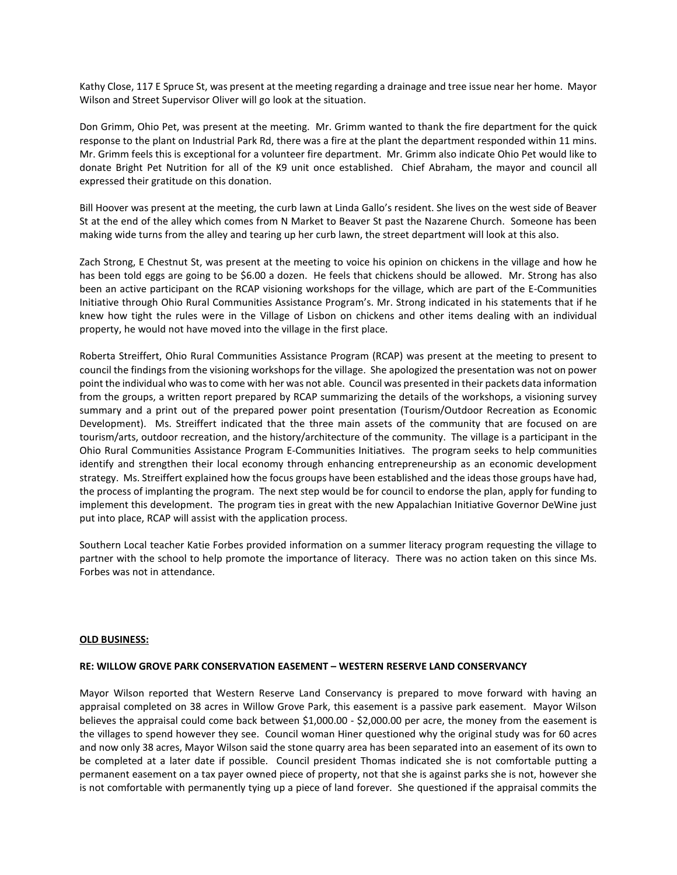Kathy Close, 117 E Spruce St, was present at the meeting regarding a drainage and tree issue near her home. Mayor Wilson and Street Supervisor Oliver will go look at the situation.

Don Grimm, Ohio Pet, was present at the meeting. Mr. Grimm wanted to thank the fire department for the quick response to the plant on Industrial Park Rd, there was a fire at the plant the department responded within 11 mins. Mr. Grimm feels this is exceptional for a volunteer fire department. Mr. Grimm also indicate Ohio Pet would like to donate Bright Pet Nutrition for all of the K9 unit once established. Chief Abraham, the mayor and council all expressed their gratitude on this donation.

Bill Hoover was present at the meeting, the curb lawn at Linda Gallo's resident. She lives on the west side of Beaver St at the end of the alley which comes from N Market to Beaver St past the Nazarene Church. Someone has been making wide turns from the alley and tearing up her curb lawn, the street department will look at this also.

Zach Strong, E Chestnut St, was present at the meeting to voice his opinion on chickens in the village and how he has been told eggs are going to be \$6.00 a dozen. He feels that chickens should be allowed. Mr. Strong has also been an active participant on the RCAP visioning workshops for the village, which are part of the E-Communities Initiative through Ohio Rural Communities Assistance Program's. Mr. Strong indicated in his statements that if he knew how tight the rules were in the Village of Lisbon on chickens and other items dealing with an individual property, he would not have moved into the village in the first place.

Roberta Streiffert, Ohio Rural Communities Assistance Program (RCAP) was present at the meeting to present to council the findings from the visioning workshops for the village. She apologized the presentation was not on power point the individual who was to come with her was not able. Council was presented in their packets data information from the groups, a written report prepared by RCAP summarizing the details of the workshops, a visioning survey summary and a print out of the prepared power point presentation (Tourism/Outdoor Recreation as Economic Development). Ms. Streiffert indicated that the three main assets of the community that are focused on are tourism/arts, outdoor recreation, and the history/architecture of the community. The village is a participant in the Ohio Rural Communities Assistance Program E-Communities Initiatives. The program seeks to help communities identify and strengthen their local economy through enhancing entrepreneurship as an economic development strategy. Ms. Streiffert explained how the focus groups have been established and the ideas those groups have had, the process of implanting the program. The next step would be for council to endorse the plan, apply for funding to implement this development. The program ties in great with the new Appalachian Initiative Governor DeWine just put into place, RCAP will assist with the application process.

Southern Local teacher Katie Forbes provided information on a summer literacy program requesting the village to partner with the school to help promote the importance of literacy. There was no action taken on this since Ms. Forbes was not in attendance.

#### **OLD BUSINESS:**

### **RE: WILLOW GROVE PARK CONSERVATION EASEMENT – WESTERN RESERVE LAND CONSERVANCY**

Mayor Wilson reported that Western Reserve Land Conservancy is prepared to move forward with having an appraisal completed on 38 acres in Willow Grove Park, this easement is a passive park easement. Mayor Wilson believes the appraisal could come back between \$1,000.00 - \$2,000.00 per acre, the money from the easement is the villages to spend however they see. Council woman Hiner questioned why the original study was for 60 acres and now only 38 acres, Mayor Wilson said the stone quarry area has been separated into an easement of its own to be completed at a later date if possible. Council president Thomas indicated she is not comfortable putting a permanent easement on a tax payer owned piece of property, not that she is against parks she is not, however she is not comfortable with permanently tying up a piece of land forever. She questioned if the appraisal commits the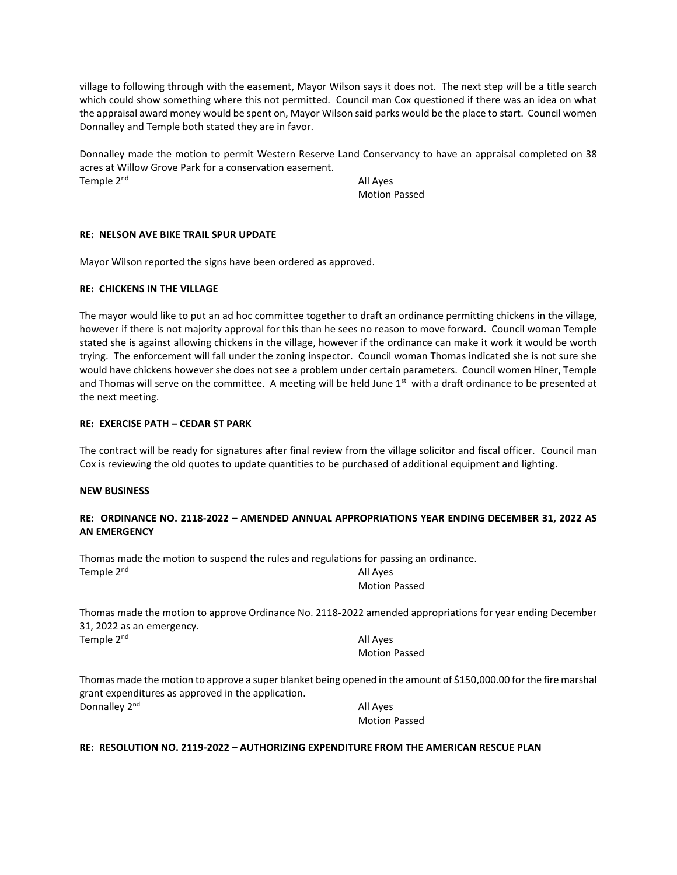village to following through with the easement, Mayor Wilson says it does not. The next step will be a title search which could show something where this not permitted. Council man Cox questioned if there was an idea on what the appraisal award money would be spent on, Mayor Wilson said parks would be the place to start. Council women Donnalley and Temple both stated they are in favor.

Donnalley made the motion to permit Western Reserve Land Conservancy to have an appraisal completed on 38 acres at Willow Grove Park for a conservation easement. Temple 2<sup>nd</sup> All Ayes

Motion Passed

## **RE: NELSON AVE BIKE TRAIL SPUR UPDATE**

Mayor Wilson reported the signs have been ordered as approved.

## **RE: CHICKENS IN THE VILLAGE**

The mayor would like to put an ad hoc committee together to draft an ordinance permitting chickens in the village, however if there is not majority approval for this than he sees no reason to move forward. Council woman Temple stated she is against allowing chickens in the village, however if the ordinance can make it work it would be worth trying. The enforcement will fall under the zoning inspector. Council woman Thomas indicated she is not sure she would have chickens however she does not see a problem under certain parameters. Council women Hiner, Temple and Thomas will serve on the committee. A meeting will be held June  $1<sup>st</sup>$  with a draft ordinance to be presented at the next meeting.

## **RE: EXERCISE PATH – CEDAR ST PARK**

The contract will be ready for signatures after final review from the village solicitor and fiscal officer. Council man Cox is reviewing the old quotes to update quantities to be purchased of additional equipment and lighting.

### **NEW BUSINESS**

## **RE: ORDINANCE NO. 2118-2022 – AMENDED ANNUAL APPROPRIATIONS YEAR ENDING DECEMBER 31, 2022 AS AN EMERGENCY**

Thomas made the motion to suspend the rules and regulations for passing an ordinance. Temple 2<sup>nd</sup> All Ayes

Motion Passed

Thomas made the motion to approve Ordinance No. 2118-2022 amended appropriations for year ending December 31, 2022 as an emergency. Temple  $2^{nd}$  All Ayes Motion Passed

Thomas made the motion to approve a super blanket being opened in the amount of \$150,000.00 for the fire marshal grant expenditures as approved in the application. Donnalley 2<sup>nd</sup> All Ayes

Motion Passed

## **RE: RESOLUTION NO. 2119-2022 – AUTHORIZING EXPENDITURE FROM THE AMERICAN RESCUE PLAN**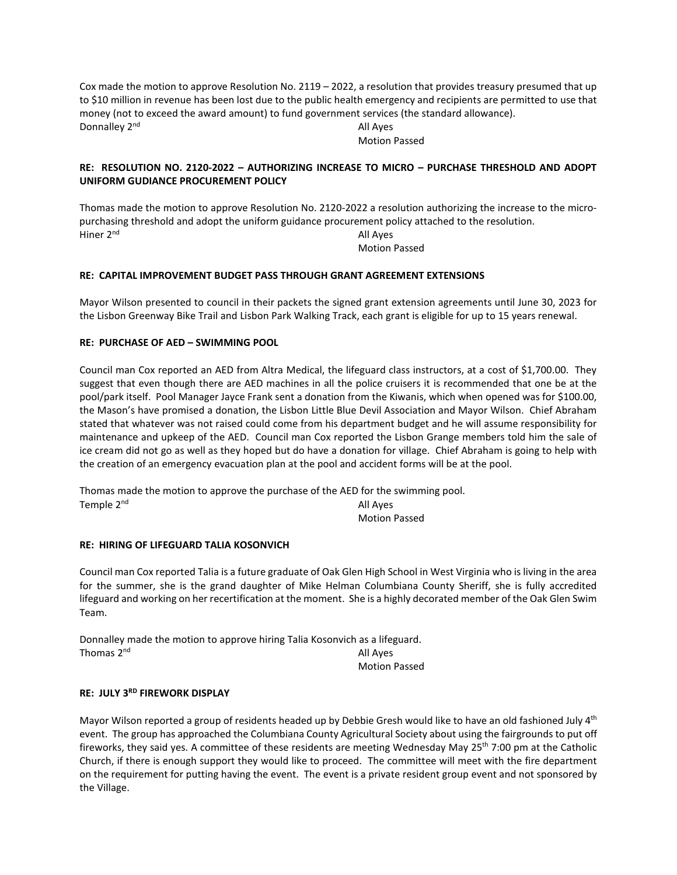Cox made the motion to approve Resolution No. 2119 – 2022, a resolution that provides treasury presumed that up to \$10 million in revenue has been lost due to the public health emergency and recipients are permitted to use that money (not to exceed the award amount) to fund government services (the standard allowance). Donnalley 2<sup>nd</sup> All Ayes

Motion Passed

## **RE: RESOLUTION NO. 2120-2022 – AUTHORIZING INCREASE TO MICRO – PURCHASE THRESHOLD AND ADOPT UNIFORM GUDIANCE PROCUREMENT POLICY**

Thomas made the motion to approve Resolution No. 2120-2022 a resolution authorizing the increase to the micropurchasing threshold and adopt the uniform guidance procurement policy attached to the resolution. Hiner 2<sup>nd</sup> All Ayes

Motion Passed

## **RE: CAPITAL IMPROVEMENT BUDGET PASS THROUGH GRANT AGREEMENT EXTENSIONS**

Mayor Wilson presented to council in their packets the signed grant extension agreements until June 30, 2023 for the Lisbon Greenway Bike Trail and Lisbon Park Walking Track, each grant is eligible for up to 15 years renewal.

## **RE: PURCHASE OF AED – SWIMMING POOL**

Council man Cox reported an AED from Altra Medical, the lifeguard class instructors, at a cost of \$1,700.00. They suggest that even though there are AED machines in all the police cruisers it is recommended that one be at the pool/park itself. Pool Manager Jayce Frank sent a donation from the Kiwanis, which when opened was for \$100.00, the Mason's have promised a donation, the Lisbon Little Blue Devil Association and Mayor Wilson. Chief Abraham stated that whatever was not raised could come from his department budget and he will assume responsibility for maintenance and upkeep of the AED. Council man Cox reported the Lisbon Grange members told him the sale of ice cream did not go as well as they hoped but do have a donation for village. Chief Abraham is going to help with the creation of an emergency evacuation plan at the pool and accident forms will be at the pool.

Thomas made the motion to approve the purchase of the AED for the swimming pool. Temple 2<sup>nd</sup> All Ayes

Motion Passed

## **RE: HIRING OF LIFEGUARD TALIA KOSONVICH**

Council man Cox reported Talia is a future graduate of Oak Glen High School in West Virginia who is living in the area for the summer, she is the grand daughter of Mike Helman Columbiana County Sheriff, she is fully accredited lifeguard and working on her recertification at the moment. She is a highly decorated member of the Oak Glen Swim Team.

Donnalley made the motion to approve hiring Talia Kosonvich as a lifeguard. Thomas  $2^{nd}$  and  $4^{nd}$  and  $4^{nd}$  and  $4^{nd}$  and  $4^{nd}$  and  $4^{nd}$  and  $4^{nd}$  and  $4^{nd}$  and  $4^{nd}$  and  $4^{nd}$  and  $4^{nd}$  and  $4^{nd}$  and  $4^{nd}$  and  $4^{nd}$  and  $4^{nd}$  and  $4^{nd}$  and  $4^{nd}$  and  $4^{nd}$  and  $4^{nd}$  and  $4^{nd}$ 

Motion Passed

# **RE: JULY 3RD FIREWORK DISPLAY**

Mayor Wilson reported a group of residents headed up by Debbie Gresh would like to have an old fashioned July 4<sup>th</sup> event. The group has approached the Columbiana County Agricultural Society about using the fairgrounds to put off fireworks, they said yes. A committee of these residents are meeting Wednesday May 25<sup>th</sup> 7:00 pm at the Catholic Church, if there is enough support they would like to proceed. The committee will meet with the fire department on the requirement for putting having the event. The event is a private resident group event and not sponsored by the Village.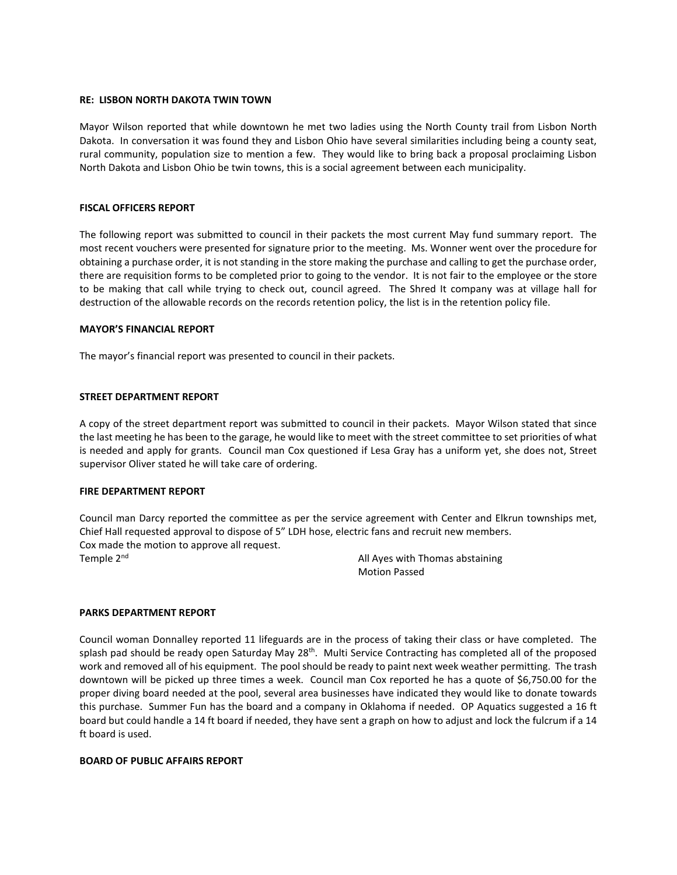### **RE: LISBON NORTH DAKOTA TWIN TOWN**

Mayor Wilson reported that while downtown he met two ladies using the North County trail from Lisbon North Dakota. In conversation it was found they and Lisbon Ohio have several similarities including being a county seat, rural community, population size to mention a few. They would like to bring back a proposal proclaiming Lisbon North Dakota and Lisbon Ohio be twin towns, this is a social agreement between each municipality.

#### **FISCAL OFFICERS REPORT**

The following report was submitted to council in their packets the most current May fund summary report. The most recent vouchers were presented for signature prior to the meeting. Ms. Wonner went over the procedure for obtaining a purchase order, it is not standing in the store making the purchase and calling to get the purchase order, there are requisition forms to be completed prior to going to the vendor. It is not fair to the employee or the store to be making that call while trying to check out, council agreed. The Shred It company was at village hall for destruction of the allowable records on the records retention policy, the list is in the retention policy file.

#### **MAYOR'S FINANCIAL REPORT**

The mayor's financial report was presented to council in their packets.

### **STREET DEPARTMENT REPORT**

A copy of the street department report was submitted to council in their packets. Mayor Wilson stated that since the last meeting he has been to the garage, he would like to meet with the street committee to set priorities of what is needed and apply for grants. Council man Cox questioned if Lesa Gray has a uniform yet, she does not, Street supervisor Oliver stated he will take care of ordering.

### **FIRE DEPARTMENT REPORT**

Council man Darcy reported the committee as per the service agreement with Center and Elkrun townships met, Chief Hall requested approval to dispose of 5" LDH hose, electric fans and recruit new members. Cox made the motion to approve all request. Temple 2<sup>nd</sup> All Ayes with Thomas abstaining

Motion Passed

#### **PARKS DEPARTMENT REPORT**

Council woman Donnalley reported 11 lifeguards are in the process of taking their class or have completed. The splash pad should be ready open Saturday May 28<sup>th</sup>. Multi Service Contracting has completed all of the proposed work and removed all of his equipment. The pool should be ready to paint next week weather permitting. The trash downtown will be picked up three times a week. Council man Cox reported he has a quote of \$6,750.00 for the proper diving board needed at the pool, several area businesses have indicated they would like to donate towards this purchase. Summer Fun has the board and a company in Oklahoma if needed. OP Aquatics suggested a 16 ft board but could handle a 14 ft board if needed, they have sent a graph on how to adjust and lock the fulcrum if a 14 ft board is used.

#### **BOARD OF PUBLIC AFFAIRS REPORT**